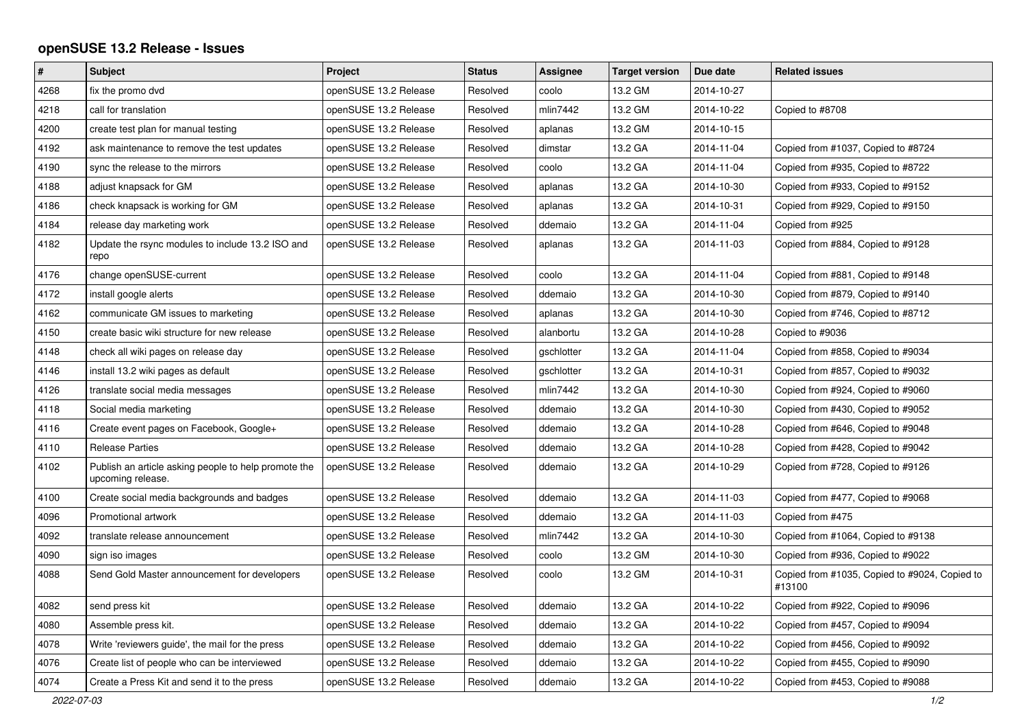## **openSUSE 13.2 Release - Issues**

| $\pmb{\#}$ | <b>Subject</b>                                                            | Project               | <b>Status</b> | Assignee   | <b>Target version</b> | Due date   | <b>Related issues</b>                                   |
|------------|---------------------------------------------------------------------------|-----------------------|---------------|------------|-----------------------|------------|---------------------------------------------------------|
| 4268       | fix the promo dvd                                                         | openSUSE 13.2 Release | Resolved      | coolo      | 13.2 GM               | 2014-10-27 |                                                         |
| 4218       | call for translation                                                      | openSUSE 13.2 Release | Resolved      | mlin7442   | 13.2 GM               | 2014-10-22 | Copied to #8708                                         |
| 4200       | create test plan for manual testing                                       | openSUSE 13.2 Release | Resolved      | aplanas    | 13.2 GM               | 2014-10-15 |                                                         |
| 4192       | ask maintenance to remove the test updates                                | openSUSE 13.2 Release | Resolved      | dimstar    | 13.2 GA               | 2014-11-04 | Copied from #1037, Copied to #8724                      |
| 4190       | sync the release to the mirrors                                           | openSUSE 13.2 Release | Resolved      | coolo      | 13.2 GA               | 2014-11-04 | Copied from #935, Copied to #8722                       |
| 4188       | adjust knapsack for GM                                                    | openSUSE 13.2 Release | Resolved      | aplanas    | 13.2 GA               | 2014-10-30 | Copied from #933, Copied to #9152                       |
| 4186       | check knapsack is working for GM                                          | openSUSE 13.2 Release | Resolved      | aplanas    | 13.2 GA               | 2014-10-31 | Copied from #929, Copied to #9150                       |
| 4184       | release day marketing work                                                | openSUSE 13.2 Release | Resolved      | ddemaio    | 13.2 GA               | 2014-11-04 | Copied from #925                                        |
| 4182       | Update the rsync modules to include 13.2 ISO and<br>repo                  | openSUSE 13.2 Release | Resolved      | aplanas    | 13.2 GA               | 2014-11-03 | Copied from #884, Copied to #9128                       |
| 4176       | change openSUSE-current                                                   | openSUSE 13.2 Release | Resolved      | coolo      | 13.2 GA               | 2014-11-04 | Copied from #881, Copied to #9148                       |
| 4172       | install google alerts                                                     | openSUSE 13.2 Release | Resolved      | ddemaio    | 13.2 GA               | 2014-10-30 | Copied from #879, Copied to #9140                       |
| 4162       | communicate GM issues to marketing                                        | openSUSE 13.2 Release | Resolved      | aplanas    | 13.2 GA               | 2014-10-30 | Copied from #746, Copied to #8712                       |
| 4150       | create basic wiki structure for new release                               | openSUSE 13.2 Release | Resolved      | alanbortu  | 13.2 GA               | 2014-10-28 | Copied to #9036                                         |
| 4148       | check all wiki pages on release day                                       | openSUSE 13.2 Release | Resolved      | gschlotter | 13.2 GA               | 2014-11-04 | Copied from #858, Copied to #9034                       |
| 4146       | install 13.2 wiki pages as default                                        | openSUSE 13.2 Release | Resolved      | gschlotter | 13.2 GA               | 2014-10-31 | Copied from #857, Copied to #9032                       |
| 4126       | translate social media messages                                           | openSUSE 13.2 Release | Resolved      | mlin7442   | 13.2 GA               | 2014-10-30 | Copied from #924, Copied to #9060                       |
| 4118       | Social media marketing                                                    | openSUSE 13.2 Release | Resolved      | ddemaio    | 13.2 GA               | 2014-10-30 | Copied from #430, Copied to #9052                       |
| 4116       | Create event pages on Facebook, Google+                                   | openSUSE 13.2 Release | Resolved      | ddemaio    | 13.2 GA               | 2014-10-28 | Copied from #646, Copied to #9048                       |
| 4110       | <b>Release Parties</b>                                                    | openSUSE 13.2 Release | Resolved      | ddemaio    | 13.2 GA               | 2014-10-28 | Copied from #428, Copied to #9042                       |
| 4102       | Publish an article asking people to help promote the<br>upcoming release. | openSUSE 13.2 Release | Resolved      | ddemaio    | 13.2 GA               | 2014-10-29 | Copied from #728, Copied to #9126                       |
| 4100       | Create social media backgrounds and badges                                | openSUSE 13.2 Release | Resolved      | ddemaio    | 13.2 GA               | 2014-11-03 | Copied from #477, Copied to #9068                       |
| 4096       | Promotional artwork                                                       | openSUSE 13.2 Release | Resolved      | ddemaio    | 13.2 GA               | 2014-11-03 | Copied from #475                                        |
| 4092       | translate release announcement                                            | openSUSE 13.2 Release | Resolved      | mlin7442   | 13.2 GA               | 2014-10-30 | Copied from #1064, Copied to #9138                      |
| 4090       | sign iso images                                                           | openSUSE 13.2 Release | Resolved      | coolo      | 13.2 GM               | 2014-10-30 | Copied from #936, Copied to #9022                       |
| 4088       | Send Gold Master announcement for developers                              | openSUSE 13.2 Release | Resolved      | coolo      | 13.2 GM               | 2014-10-31 | Copied from #1035, Copied to #9024, Copied to<br>#13100 |
| 4082       | send press kit                                                            | openSUSE 13.2 Release | Resolved      | ddemaio    | 13.2 GA               | 2014-10-22 | Copied from #922, Copied to #9096                       |
| 4080       | Assemble press kit.                                                       | openSUSE 13.2 Release | Resolved      | ddemaio    | 13.2 GA               | 2014-10-22 | Copied from #457, Copied to #9094                       |
| 4078       | Write 'reviewers guide', the mail for the press                           | openSUSE 13.2 Release | Resolved      | ddemaio    | 13.2 GA               | 2014-10-22 | Copied from #456, Copied to #9092                       |
| 4076       | Create list of people who can be interviewed                              | openSUSE 13.2 Release | Resolved      | ddemaio    | 13.2 GA               | 2014-10-22 | Copied from #455, Copied to #9090                       |
| 4074       | Create a Press Kit and send it to the press                               | openSUSE 13.2 Release | Resolved      | ddemaio    | 13.2 GA               | 2014-10-22 | Copied from #453, Copied to #9088                       |